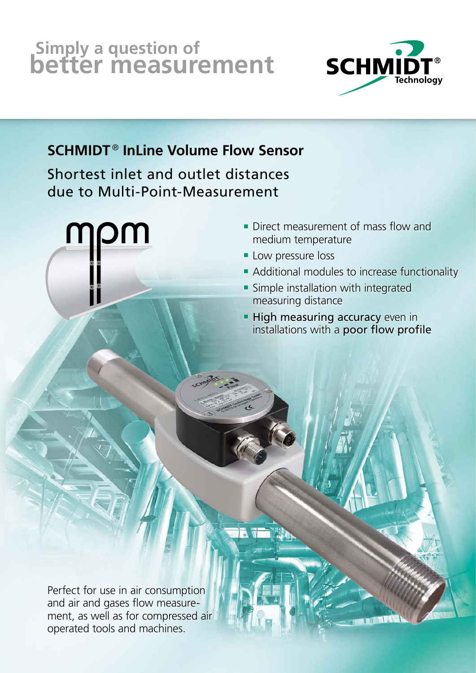# **Simply a question of better measurement**



## **SCHMIDT** ® **InLine Volume Flow Sensor**

Shortest inlet and outlet distances due to Multi-Point-Measurement



- **Direct measurement of mass flow and** medium temperature
- **Low pressure loss**
- **Additional modules to increase functionality**
- **Simple installation with integrated** measuring distance
- **High measuring accuracy even in** installations with a poor flow profile

Perfect for use in air consumption and air and gases flow measurement, as well as for compressed air operated tools and machines.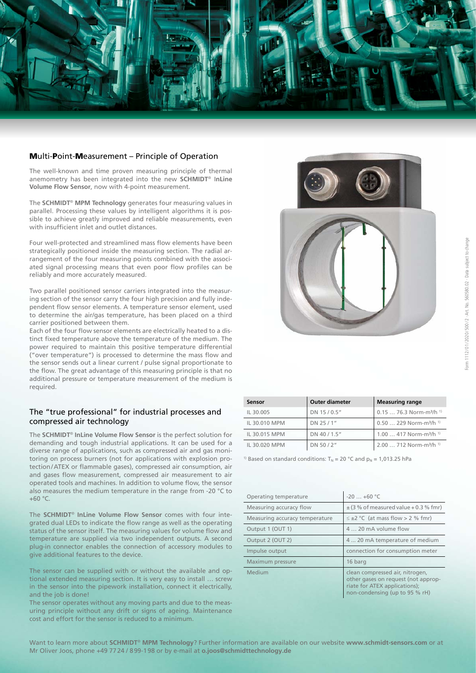

#### Multi-Point-Measurement – Principle of Operation

The well-known and time proven measuring principle of thermal anemometry has been integrated into the new **SCHMIDT**® I**nLine Volume Flow Sensor**, now with 4-point measurement.

The **SCHMIDT**® **MPM Technology** generates four measuring values in parallel. Processing these values by intelligent algorithms it is possible to achieve greatly improved and reliable measurements, even with insufficient inlet and outlet distances.

Four well-protected and streamlined mass flow elements have been strategically positioned inside the measuring section. The radial arrangement of the four measuring points combined with the associated signal processing means that even poor flow profiles can be reliably and more accurately measured.

Two parallel positioned sensor carriers integrated into the measuring section of the sensor carry the four high precision and fully independent flow sensor elements. A temperature sensor element, used to determine the air/gas temperature, has been placed on a third carrier positioned between them.

Each of the four flow sensor elements are electrically heated to a distinct fixed temperature above the temperature of the medium. The power required to maintain this positive temperature differential ("over temperature") is processed to determine the mass flow and the sensor sends out a linear current / pulse signal proportionate to the flow. The great advantage of this measuring principle is that no additional pressure or temperature measurement of the medium is required.

#### The "true professional" for industrial processes and compressed air technology

The **SCHMIDT**® **InLine Volume Flow Sensor** is the perfect solution for demanding and tough industrial applications. It can be used for a diverse range of applications, such as compressed air and gas monitoring on process burners (not for applications with explosion protection/ATEX or flammable gases), compressed air consumption, air and gases flow measurement, compressed air measurement to air operated tools and machines. In addition to volume flow, the sensor also measures the medium temperature in the range from -20 °C to  $+60 °C$ .

The **SCHMIDT**® **InLine Volume Flow Sensor** comes with four integrated dual LEDs to indicate the flow range as well as the operating status of the sensor itself. The measuring values for volume flow and temperature are supplied via two independent outputs. A second plug-in connector enables the connection of accessory modules to give additional features to the device.

The sensor can be supplied with or without the available and optional extended measuring section. It is very easy to install … screw in the sensor into the pipework installation, connect it electrically, and the job is done!

The sensor operates without any moving parts and due to the measuring principle without any drift or signs of ageing. Maintenance cost and effort for the sensor is reduced to a minimum.



| Sensor        | <b>Outer diameter</b> | <b>Measuring range</b>                          |  |  |
|---------------|-----------------------|-------------------------------------------------|--|--|
| IL 30.005     | DN 15/0.5"            | $0.1576.3$ Norm-m <sup>3</sup> /h <sup>1)</sup> |  |  |
| IL 30.010 MPM | DN 25 / 1"            | $0.50$ 229 Norm-m <sup>3</sup> /h <sup>1)</sup> |  |  |
| IL 30.015 MPM | DN 40 / 1.5"          | 1.00  417 Norm-m <sup>3</sup> /h <sup>1)</sup>  |  |  |
| IL 30.020 MPM | DN 50/2"              | 2.00  712 Norm-m <sup>3</sup> /h <sup>1)</sup>  |  |  |

<sup>1)</sup> Based on standard conditions:  $T_N = 20$  °C and  $p_N = 1,013.25$  hPa

| Operating temperature          | $-20+60$ °C                                                                                                                               |
|--------------------------------|-------------------------------------------------------------------------------------------------------------------------------------------|
| Measuring accuracy flow        | $\pm$ (3 % of measured value + 0.3 % fmr)                                                                                                 |
| Measuring accuracy temperature | $\leq \pm 2$ °C (at mass flow > 2 % fmr)                                                                                                  |
| Output 1 (OUT 1)               | 4  20 mA volume flow                                                                                                                      |
| Output 2 (OUT 2)               | 4  20 mA temperature of medium                                                                                                            |
| Impulse output                 | connection for consumption meter                                                                                                          |
| Maximum pressure               | 16 barg                                                                                                                                   |
| Medium                         | clean compressed air, nitrogen,<br>other gases on request (not approp-<br>riate for ATEX applications);<br>non-condensing (up to 95 % rH) |

Want to learn more about **SCHMIDT**® **MPM Technology**? Further information are available on our website **www.schmidt-sensors.com** or at Mr Oliver Joos, phone +49 7724 / 899-198 or by e-mail at **o.joos@schmidttechnology.de**